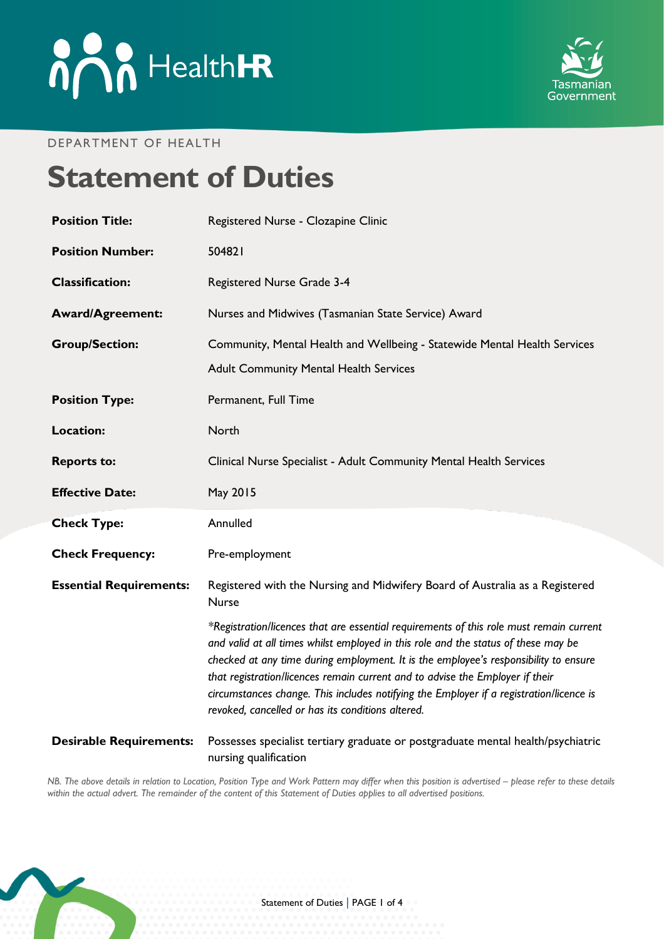



#### DEPARTMENT OF HEALTH

# **Statement of Duties**

| <b>Position Title:</b>         | Registered Nurse - Clozapine Clinic                                                                                                                                                                                                                                                                                                                                                                                                                                                                    |
|--------------------------------|--------------------------------------------------------------------------------------------------------------------------------------------------------------------------------------------------------------------------------------------------------------------------------------------------------------------------------------------------------------------------------------------------------------------------------------------------------------------------------------------------------|
| <b>Position Number:</b>        | 504821                                                                                                                                                                                                                                                                                                                                                                                                                                                                                                 |
| <b>Classification:</b>         | Registered Nurse Grade 3-4                                                                                                                                                                                                                                                                                                                                                                                                                                                                             |
| <b>Award/Agreement:</b>        | Nurses and Midwives (Tasmanian State Service) Award                                                                                                                                                                                                                                                                                                                                                                                                                                                    |
| <b>Group/Section:</b>          | Community, Mental Health and Wellbeing - Statewide Mental Health Services<br><b>Adult Community Mental Health Services</b>                                                                                                                                                                                                                                                                                                                                                                             |
| <b>Position Type:</b>          | Permanent, Full Time                                                                                                                                                                                                                                                                                                                                                                                                                                                                                   |
| <b>Location:</b>               | North                                                                                                                                                                                                                                                                                                                                                                                                                                                                                                  |
| <b>Reports to:</b>             | Clinical Nurse Specialist - Adult Community Mental Health Services                                                                                                                                                                                                                                                                                                                                                                                                                                     |
| <b>Effective Date:</b>         | May 2015                                                                                                                                                                                                                                                                                                                                                                                                                                                                                               |
| <b>Check Type:</b>             | Annulled                                                                                                                                                                                                                                                                                                                                                                                                                                                                                               |
| <b>Check Frequency:</b>        | Pre-employment                                                                                                                                                                                                                                                                                                                                                                                                                                                                                         |
| <b>Essential Requirements:</b> | Registered with the Nursing and Midwifery Board of Australia as a Registered<br><b>Nurse</b>                                                                                                                                                                                                                                                                                                                                                                                                           |
|                                | *Registration/licences that are essential requirements of this role must remain current<br>and valid at all times whilst employed in this role and the status of these may be<br>checked at any time during employment. It is the employee's responsibility to ensure<br>that registration/licences remain current and to advise the Employer if their<br>circumstances change. This includes notifying the Employer if a registration/licence is<br>revoked, cancelled or has its conditions altered. |
| <b>Desirable Requirements:</b> | Possesses specialist tertiary graduate or postgraduate mental health/psychiatric<br>nursing qualification                                                                                                                                                                                                                                                                                                                                                                                              |

*NB. The above details in relation to Location, Position Type and Work Pattern may differ when this position is advertised - please refer to these details within the actual advert. The remainder of the content of this Statement of Duties applies to all advertised positions.*

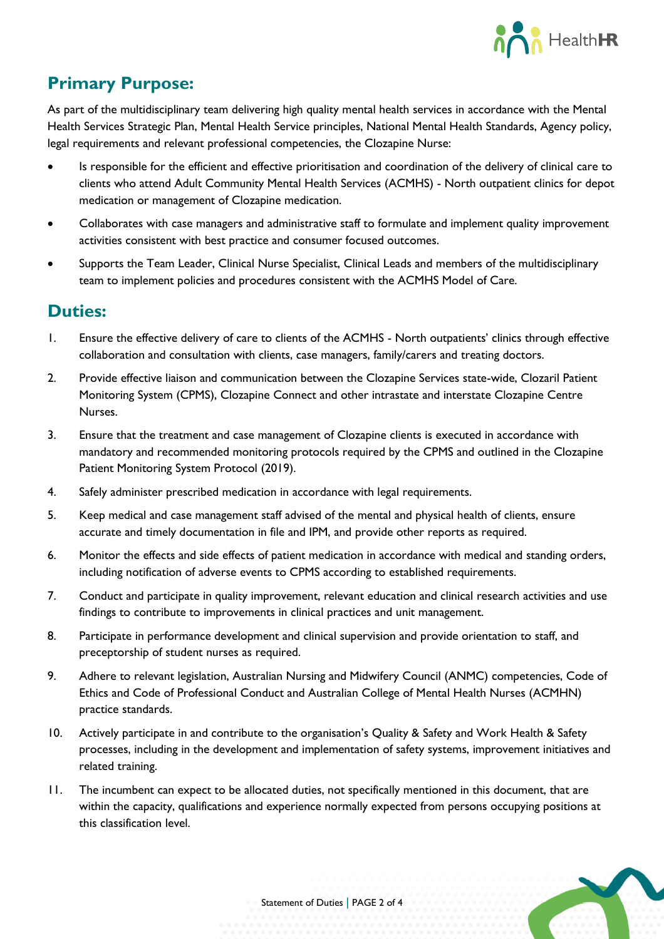

# **Primary Purpose:**

As part of the multidisciplinary team delivering high quality mental health services in accordance with the Mental Health Services Strategic Plan, Mental Health Service principles, National Mental Health Standards, Agency policy, legal requirements and relevant professional competencies, the Clozapine Nurse:

- Is responsible for the efficient and effective prioritisation and coordination of the delivery of clinical care to clients who attend Adult Community Mental Health Services (ACMHS) - North outpatient clinics for depot medication or management of Clozapine medication.
- Collaborates with case managers and administrative staff to formulate and implement quality improvement activities consistent with best practice and consumer focused outcomes.
- Supports the Team Leader, Clinical Nurse Specialist, Clinical Leads and members of the multidisciplinary team to implement policies and procedures consistent with the ACMHS Model of Care.

#### **Duties:**

- 1. Ensure the effective delivery of care to clients of the ACMHS North outpatients' clinics through effective collaboration and consultation with clients, case managers, family/carers and treating doctors.
- 2. Provide effective liaison and communication between the Clozapine Services state-wide, Clozaril Patient Monitoring System (CPMS), Clozapine Connect and other intrastate and interstate Clozapine Centre Nurses.
- 3. Ensure that the treatment and case management of Clozapine clients is executed in accordance with mandatory and recommended monitoring protocols required by the CPMS and outlined in the Clozapine Patient Monitoring System Protocol (2019).
- 4. Safely administer prescribed medication in accordance with legal requirements.
- 5. Keep medical and case management staff advised of the mental and physical health of clients, ensure accurate and timely documentation in file and IPM, and provide other reports as required.
- 6. Monitor the effects and side effects of patient medication in accordance with medical and standing orders, including notification of adverse events to CPMS according to established requirements.
- 7. Conduct and participate in quality improvement, relevant education and clinical research activities and use findings to contribute to improvements in clinical practices and unit management.
- 8. Participate in performance development and clinical supervision and provide orientation to staff, and preceptorship of student nurses as required.
- 9. Adhere to relevant legislation, Australian Nursing and Midwifery Council (ANMC) competencies, Code of Ethics and Code of Professional Conduct and Australian College of Mental Health Nurses (ACMHN) practice standards.
- 10. Actively participate in and contribute to the organisation's Quality & Safety and Work Health & Safety processes, including in the development and implementation of safety systems, improvement initiatives and related training.
- 11. The incumbent can expect to be allocated duties, not specifically mentioned in this document, that are within the capacity, qualifications and experience normally expected from persons occupying positions at this classification level.

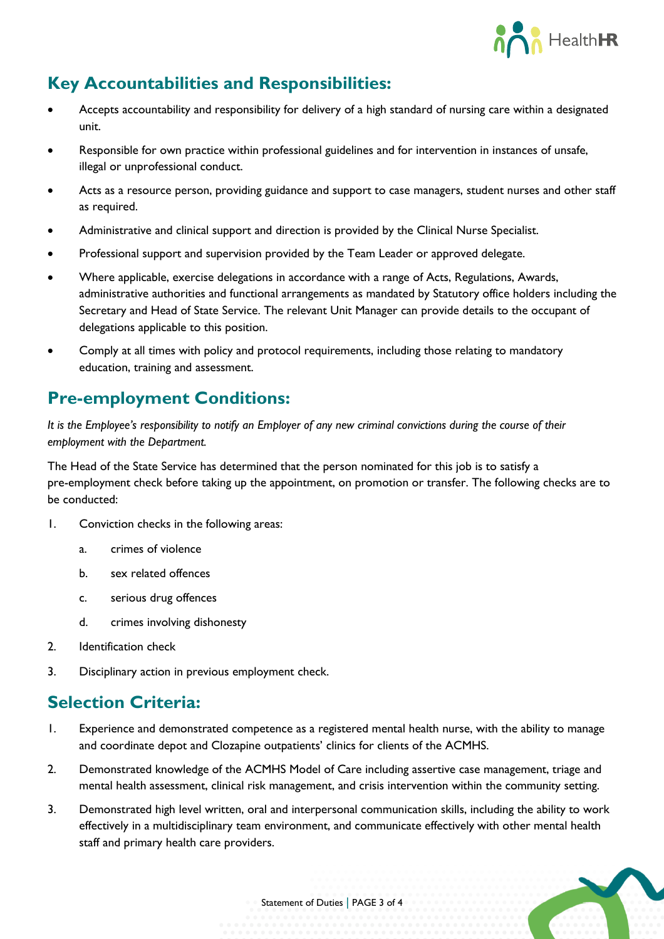

# **Key Accountabilities and Responsibilities:**

- Accepts accountability and responsibility for delivery of a high standard of nursing care within a designated unit.
- Responsible for own practice within professional guidelines and for intervention in instances of unsafe, illegal or unprofessional conduct.
- Acts as a resource person, providing guidance and support to case managers, student nurses and other staff as required.
- Administrative and clinical support and direction is provided by the Clinical Nurse Specialist.
- Professional support and supervision provided by the Team Leader or approved delegate.
- Where applicable, exercise delegations in accordance with a range of Acts, Regulations, Awards, administrative authorities and functional arrangements as mandated by Statutory office holders including the Secretary and Head of State Service. The relevant Unit Manager can provide details to the occupant of delegations applicable to this position.
- Comply at all times with policy and protocol requirements, including those relating to mandatory education, training and assessment.

### **Pre-employment Conditions:**

*It is the Employee's responsibility to notify an Employer of any new criminal convictions during the course of their employment with the Department.*

The Head of the State Service has determined that the person nominated for this job is to satisfy a pre-employment check before taking up the appointment, on promotion or transfer. The following checks are to be conducted:

- 1. Conviction checks in the following areas:
	- a. crimes of violence
	- b. sex related offences
	- c. serious drug offences
	- d. crimes involving dishonesty
- 2. Identification check
- 3. Disciplinary action in previous employment check.

## **Selection Criteria:**

- 1. Experience and demonstrated competence as a registered mental health nurse, with the ability to manage and coordinate depot and Clozapine outpatients' clinics for clients of the ACMHS.
- 2. Demonstrated knowledge of the ACMHS Model of Care including assertive case management, triage and mental health assessment, clinical risk management, and crisis intervention within the community setting.
- 3. Demonstrated high level written, oral and interpersonal communication skills, including the ability to work effectively in a multidisciplinary team environment, and communicate effectively with other mental health staff and primary health care providers.